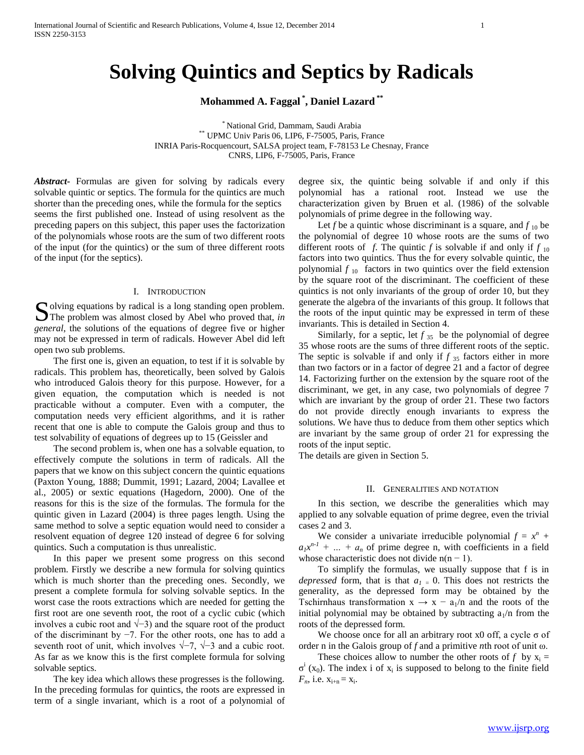# **Solving Quintics and Septics by Radicals**

**Mohammed A. Faggal \* , Daniel Lazard \*\***

\* National Grid, Dammam, Saudi Arabia \*\* UPMC Univ Paris 06, LIP6, F-75005, Paris, France INRIA Paris-Rocquencourt, SALSA project team, F-78153 Le Chesnay, France CNRS, LIP6, F-75005, Paris, France

*Abstract***-** Formulas are given for solving by radicals every solvable quintic or septics. The formula for the quintics are much shorter than the preceding ones, while the formula for the septics seems the first published one. Instead of using resolvent as the preceding papers on this subject, this paper uses the factorization of the polynomials whose roots are the sum of two different roots of the input (for the quintics) or the sum of three different roots of the input (for the septics).

#### I. INTRODUCTION

olving equations by radical is a long standing open problem. Solving equations by radical is a long standing open problem.<br>The problem was almost closed by Abel who proved that, *in general*, the solutions of the equations of degree five or higher may not be expressed in term of radicals. However Abel did left open two sub problems.

 The first one is, given an equation, to test if it is solvable by radicals. This problem has, theoretically, been solved by Galois who introduced Galois theory for this purpose. However, for a given equation, the computation which is needed is not practicable without a computer. Even with a computer, the computation needs very efficient algorithms, and it is rather recent that one is able to compute the Galois group and thus to test solvability of equations of degrees up to 15 (Geissler and

 The second problem is, when one has a solvable equation, to effectively compute the solutions in term of radicals. All the papers that we know on this subject concern the quintic equations (Paxton Young, 1888; Dummit, 1991; Lazard, 2004; Lavallee et al., 2005) or sextic equations (Hagedorn, 2000). One of the reasons for this is the size of the formulas. The formula for the quintic given in Lazard (2004) is three pages length. Using the same method to solve a septic equation would need to consider a resolvent equation of degree 120 instead of degree 6 for solving quintics. Such a computation is thus unrealistic.

 In this paper we present some progress on this second problem. Firstly we describe a new formula for solving quintics which is much shorter than the preceding ones. Secondly, we present a complete formula for solving solvable septics. In the worst case the roots extractions which are needed for getting the first root are one seventh root, the root of a cyclic cubic (which involves a cubic root and  $\sqrt{-3}$ ) and the square root of the product of the discriminant by −7. For the other roots, one has to add a seventh root of unit, which involves  $\sqrt{-7}$ ,  $\sqrt{-3}$  and a cubic root. As far as we know this is the first complete formula for solving solvable septics.

 The key idea which allows these progresses is the following. In the preceding formulas for quintics, the roots are expressed in term of a single invariant, which is a root of a polynomial of degree six, the quintic being solvable if and only if this polynomial has a rational root. Instead we use the characterization given by Bruen et al. (1986) of the solvable polynomials of prime degree in the following way.

Let *f* be a quintic whose discriminant is a square, and  $f_{10}$  be the polynomial of degree 10 whose roots are the sums of two different roots of *f*. The quintic *f* is solvable if and only if  $f_{10}$ factors into two quintics. Thus the for every solvable quintic, the polynomial  $f_{10}$  factors in two quintics over the field extension by the square root of the discriminant. The coefficient of these quintics is not only invariants of the group of order 10, but they generate the algebra of the invariants of this group. It follows that the roots of the input quintic may be expressed in term of these invariants. This is detailed in Section 4.

Similarly, for a septic, let  $f_{35}$  be the polynomial of degree 35 whose roots are the sums of three different roots of the septic. The septic is solvable if and only if  $f_{35}$  factors either in more than two factors or in a factor of degree 21 and a factor of degree 14. Factorizing further on the extension by the square root of the discriminant, we get, in any case, two polynomials of degree 7 which are invariant by the group of order 21. These two factors do not provide directly enough invariants to express the solutions. We have thus to deduce from them other septics which are invariant by the same group of order 21 for expressing the roots of the input septic.

The details are given in Section 5.

### II. GENERALITIES AND NOTATION

 In this section, we describe the generalities which may applied to any solvable equation of prime degree, even the trivial cases 2 and 3.

We consider a univariate irreducible polynomial  $f = x^n + y$  $a_1x^{n-1}$  + ... +  $a_n$  of prime degree n, with coefficients in a field whose characteristic does not divide  $n(n - 1)$ .

 To simplify the formulas, we usually suppose that f is in *depressed* form, that is that  $a_1 = 0$ . This does not restricts the generality, as the depressed form may be obtained by the Tschirnhaus transformation  $x \rightarrow x - a_1/n$  and the roots of the initial polynomial may be obtained by subtracting  $a_1/n$  from the roots of the depressed form.

We choose once for all an arbitrary root x0 off, a cycle  $\sigma$  of order n in the Galois group of *f* and a primitive *n*th root of unit ω.

These choices allow to number the other roots of  $f$  by  $x_i =$  $\sigma^i$  (x<sub>0</sub>). The index i of x<sub>i</sub> is supposed to belong to the finite field  $F_n$ , i.e.  $x_{i+n} = x_i$ .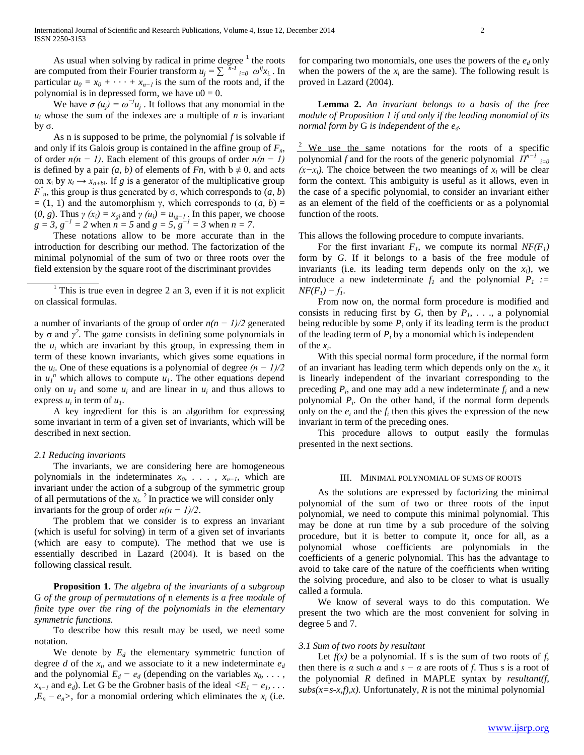As usual when solving by radical in prime degree  $\frac{1}{1}$  the roots are computed from their Fourier transform  $u_j = \sum_{i=0}^{n-1} \omega^{ij} x_i$ . In particular  $u_0 = x_0 + \cdots + x_{n-1}$  is the sum of the roots and, if the polynomial is in depressed form, we have  $u0 = 0$ .

We have  $\sigma (u_j) = \omega^{-j} u_j$ . It follows that any monomial in the  $u_i$  whose the sum of the indexes are a multiple of *n* is invariant by σ.

 As n is supposed to be prime, the polynomial *f* is solvable if and only if its Galois group is contained in the affine group of  $F<sub>n</sub>$ , of order *n(n − 1)*. Each element of this groups of order *n(n − 1)* is defined by a pair  $(a, b)$  of elements of *Fn*, with  $b \neq 0$ , and acts on  $x_i$  by  $x_i \rightarrow x_{a+bi}$ . If *g* is a generator of the multiplicative group  $F^*$ <sub>*n*</sub>, this group is thus generated by σ, which corresponds to (*a*, *b*)  $= (1, 1)$  and the automorphism γ, which corresponds to  $(a, b) =$ (0, g). Thus  $\gamma(x_i) = x_{gi}$  and  $\gamma(u_i) = u_{ig-1}$ . In this paper, we choose *g* = 3,  $g^{-1}$  = 2 when  $n = 5$  and  $g = 5$ ,  $g^{-1} = 3$  when  $n = 7$ .

 These notations allow to be more accurate than in the introduction for describing our method. The factorization of the minimal polynomial of the sum of two or three roots over the field extension by the square root of the discriminant provides

<sup>1</sup> This is true even in degree 2 an 3, even if it is not explicit on classical formulas.

a number of invariants of the group of order *n(n − 1)/2* generated by  $\sigma$  and  $\gamma^2$ . The game consists in defining some polynomials in the  $u_i$  which are invariant by this group, in expressing them in term of these known invariants, which gives some equations in the  $u_i$ . One of these equations is a polynomial of degree  $(n - 1)/2$ in  $u_1^n$  which allows to compute  $u_1$ . The other equations depend only on  $u_1$  and some  $u_i$  and are linear in  $u_i$  and thus allows to express  $u_i$  in term of  $u_i$ .

 A key ingredient for this is an algorithm for expressing some invariant in term of a given set of invariants, which will be described in next section.

# *2.1 Reducing invariants*

 The invariants, we are considering here are homogeneous polynomials in the indeterminates *x0, . . . , xn−1*, which are invariant under the action of a subgroup of the symmetric group of all permutations of the  $x_i$ <sup>2</sup> In practice we will consider only invariants for the group of order *n(n − 1)/2*.

 The problem that we consider is to express an invariant (which is useful for solving) in term of a given set of invariants (which are easy to compute). The method that we use is essentially described in Lazard (2004). It is based on the following classical result.

 **Proposition 1.** *The algebra of the invariants of a subgroup*  G *of the group of permutations of* n *elements is a free module of finite type over the ring of the polynomials in the elementary symmetric functions.*

 To describe how this result may be used, we need some notation.

We denote by  $E_d$  the elementary symmetric function of degree *d* of the  $x_i$ , and we associate to it a new indeterminate  $e_d$ and the polynomial  $E_d - e_d$  (depending on the variables  $x_0, \ldots$ , *x*<sub>*n−1</sub>* and *e<sub>d</sub>*). Let G be the Grobner basis of the ideal  $\langle E_1 - e_1, \ldots \rangle$ </sub> *,* $E_n - e_n$ , for a monomial ordering which eliminates the  $x_i$  (i.e.

for comparing two monomials, one uses the powers of the *e<sup>d</sup>* only when the powers of the  $x_i$  are the same). The following result is proved in Lazard (2004).

 **Lemma 2.** *An invariant belongs to a basis of the free module of Proposition 1 if and only if the leading monomial of its normal form by* G *is independent of the ed.*

 $\frac{2}{3}$  We use the same notations for the roots of a specific *polynomial f* and for the roots of the generic polynomial  $\hat{\Pi}^{n-1}$ <sub>*i=0*</sub>  $(x-x_i)$ . The choice between the two meanings of  $x_i$  will be clear form the context. This ambiguity is useful as it allows, even in the case of a specific polynomial, to consider an invariant either as an element of the field of the coefficients or as a polynomial function of the roots.

This allows the following procedure to compute invariants.

For the first invariant  $F_1$ , we compute its normal  $NF(F_1)$ form by *G*. If it belongs to a basis of the free module of invariants (i.e. its leading term depends only on the  $x_i$ ), we introduce a new indeterminate  $f_1$  and the polynomial  $P_1$  := *NF*( $F<sub>I</sub>$ *)* −  $f<sub>I</sub>$ .

 From now on, the normal form procedure is modified and consists in reducing first by  $G$ , then by  $P_1$ , ..., a polynomial being reducible by some  $P_i$  only if its leading term is the product of the leading term of  $P_i$  by a monomial which is independent of the  $x_i$ .

 With this special normal form procedure, if the normal form of an invariant has leading term which depends only on the  $x_i$ , it is linearly independent of the invariant corresponding to the preceding  $P_i$ , and one may add a new indeterminate  $f_i$  and a new polynomial *P<sup>i</sup>* . On the other hand, if the normal form depends only on the  $e_i$  and the  $f_i$  then this gives the expression of the new invariant in term of the preceding ones.

 This procedure allows to output easily the formulas presented in the next sections.

# III. MINIMAL POLYNOMIAL OF SUMS OF ROOTS

 As the solutions are expressed by factorizing the minimal polynomial of the sum of two or three roots of the input polynomial, we need to compute this minimal polynomial. This may be done at run time by a sub procedure of the solving procedure, but it is better to compute it, once for all, as a polynomial whose coefficients are polynomials in the coefficients of a generic polynomial. This has the advantage to avoid to take care of the nature of the coefficients when writing the solving procedure, and also to be closer to what is usually called a formula.

 We know of several ways to do this computation. We present the two which are the most convenient for solving in degree 5 and 7.

# *3.1 Sum of two roots by resultant*

Let  $f(x)$  be a polynomial. If *s* is the sum of two roots of *f*, then there is  $\alpha$  such  $\alpha$  and  $s - \alpha$  are roots of *f*. Thus *s* is a root of the polynomial *R* defined in MAPLE syntax by *resultant(f,*   $subs(x=s-x,f),x)$ . Unfortunately, *R* is not the minimal polynomial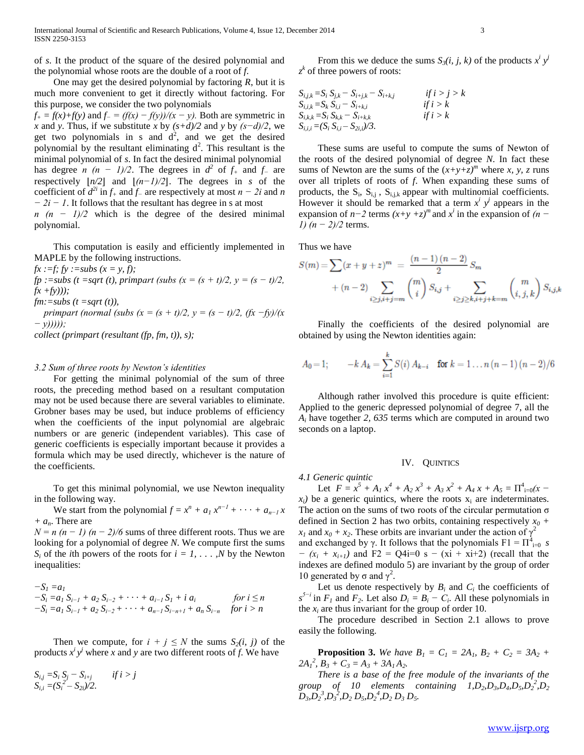of *s*. It the product of the square of the desired polynomial and the polynomial whose roots are the double of a root of *f*.

 One may get the desired polynomial by factoring *R*, but it is much more convenient to get it directly without factoring. For this purpose, we consider the two polynomials

 $f<sub>+</sub> = f(x)+f(y)$  and  $f<sub>-</sub> = (f(x) - f(y))/(x - y)$ . Both are symmetric in *x* and *y*. Thus, if we substitute *x* by *(s+d)/2* and *y* by *(s−d)/2*, we get two polynomials in s and  $d^2$ , and we get the desired polynomial by the resultant eliminating  $d^2$ . This resultant is the minimal polynomial of *s*. In fact the desired minimal polynomial has degree *n*  $(n - 1)/2$ . The degrees in  $d^2$  of  $f_+$  and  $f_-$  are respectively  $\lfloor n/2 \rfloor$  and  $\lfloor (n-1)/2 \rfloor$ . The degrees in *s* of the coefficient of  $d^{2i}$  in  $f_+$  and  $f_-$  are respectively at most  $n - 2i$  and  $n$ *− 2i − 1*. It follows that the resultant has degree in s at most

*n* (*n* − 1)/2 which is the degree of the desired minimal polynomial.

 This computation is easily and efficiently implemented in MAPLE by the following instructions.

 $fx :=f; fy :=subs (x = y, f);$ 

*fp* :=subs (*t* =sqrt (*t*), primpart (subs ( $x = (s + t)/2$ ,  $y = (s - t)/2$ , *fx +fy)));*

 $fm:=subs$  (t =sqrt (t)),

*primpart (normal (subs (x = (s + t)/2, y = (s - t)/2, (fx -fy)/(x − y)))));*

*collect (primpart (resultant (fp, fm, t)), s);*

# *3.2 Sum of three roots by Newton's identities*

 For getting the minimal polynomial of the sum of three roots, the preceding method based on a resultant computation may not be used because there are several variables to eliminate. Grobner bases may be used, but induce problems of efficiency when the coefficients of the input polynomial are algebraic numbers or are generic (independent variables). This case of generic coefficients is especially important because it provides a formula which may be used directly, whichever is the nature of the coefficients.

 To get this minimal polynomial, we use Newton inequality in the following way.

We start from the polynomial  $f = x^n + a_1 x^{n-1} + \cdots + a_{n-1} x$ *+ an*. There are

 $N = n (n - 1) (n - 2)/6$  sums of three different roots. Thus we are looking for a polynomial of degree *N*. We compute first the sums  $S_i$  of the *i*th powers of the roots for  $i = 1, \ldots, N$  by the Newton inequalities:

$$
-S1 = a1-Si = a1 Si-1 + a2 Si-2 + ··· + ai-1 S1 + i ai for i \le n-Si = a1 Si-1 + a2 Si-2 + ··· + an-1 Si-n+1 + an Si-n for i > n
$$

Then we compute, for  $i + j \leq N$  the sums  $S_2(i, j)$  of the products  $x^i y^j$  where *x* and *y* are two different roots of *f*. We have

$$
S_{i,j} = S_i S_j - S_{i+j} \t\t if i > j
$$
  
\n
$$
S_{i,i} = (S_i^2 - S_{2i})/2.
$$

From this we deduce the sums  $S_3(i, j, k)$  of the products  $x^i y^j$ *z k* of three powers of roots:

*Si,j,k =S<sup>i</sup> Sj,k − Si+j,k − Si+k,j if i > j > k Si,i,k =S<sup>k</sup> Si,i − Si+k,i if i > k Si,k,k =S<sup>i</sup> Sk,k − Si+k,k if i > k Si,i,i =(S<sup>i</sup> Si,i – S2i,i)/3.*

 These sums are useful to compute the sums of Newton of the roots of the desired polynomial of degree *N*. In fact these sums of Newton are the sums of the  $(x+y+z)^m$  where *x*, *y*, *z* runs over all triplets of roots of *f*. When expanding these sums of products, the  $S_i$ ,  $S_{i,j}$ ,  $S_{i,j,k}$  appear with multinomial coefficients. However it should be remarked that a term  $x^i$   $y^j$  appears in the expansion of  $n-2$  terms  $(x+y+z)^m$  and  $x^i$  in the expansion of  $(n-$ *1)* (*n* − 2)/2 terms.

Thus we have

$$
S(m) = \sum (x + y + z)^m = \frac{(n-1)(n-2)}{2} S_m
$$
  
+ (n-2)  $\sum_{i \ge j, i+j=m} {m \choose i} S_{i,j} + \sum_{i \ge j \ge k, i+j+k=m} {m \choose i,j,k} S_{i,j,k}$ 

 Finally the coefficients of the desired polynomial are obtained by using the Newton identities again:

$$
A_0 = 1; \qquad -k A_k = \sum_{i=1}^k S(i) A_{k-i} \quad \text{for } k = 1 \dots n (n-1) (n-2)/6
$$

 Although rather involved this procedure is quite efficient: Applied to the generic depressed polynomial of degree 7, all the *A<sup>i</sup>* have together *2, 635* terms which are computed in around two seconds on a laptop.

# IV. QUINTICS

*4.1 Generic quintic*

Let  $F = x^5 + A_1 x^4 + A_2 x^3 + A_3 x^2 + A_4 x + A_5 = \prod_{i=0}^{4} (x - 1)^i$  $x_i$  be a generic quintics, where the roots  $x_i$  are indeterminates. The action on the sums of two roots of the circular permutation  $\sigma$ defined in Section 2 has two orbits, containing respectively  $x_0$  +  $x_1$  and  $x_0 + x_2$ . These orbits are invariant under the action of  $\gamma^2$ and exchanged by  $\gamma$ . It follows that the polynomials  $F1 = \prod_{i=0}^{4} s$ *− (x<sup>i</sup> + xi+1)* and F2 = Q4i=0 s − (xi + xi+2) (recall that the indexes are defined modulo 5) are invariant by the group of order 10 generated by  $\sigma$  and  $\gamma^2$ .

Let us denote respectively by  $B_i$  and  $C_i$  the coefficients of  $s^{5-i}$  in  $F_1$  and  $F_2$ . Let also  $D_i = B_i - C_i$ . All these polynomials in the  $x_i$  are thus invariant for the group of order 10.

 The procedure described in Section 2.1 allows to prove easily the following.

**Proposition 3.** We have  $B_1 = C_1 = 2A_1$ ,  $B_2 + C_2 = 3A_2 + C_1$  $2A_1^2$ ,  $B_3 + C_3 = A_3 + 3A_1A_2$ .

 *There is a base of the free module of the invariants of the*  group of 10 elements containing  $1, D_2, D_3, D_4, D_5, D_2^2, D_2$  $D_3$ , $D_2$ <sup>3</sup>, $D_3$ <sup>3</sup>, $D_2$   $D_5$ , $D_2$ <sup>4</sup>, $D_2$   $D_3$   $D_5$ .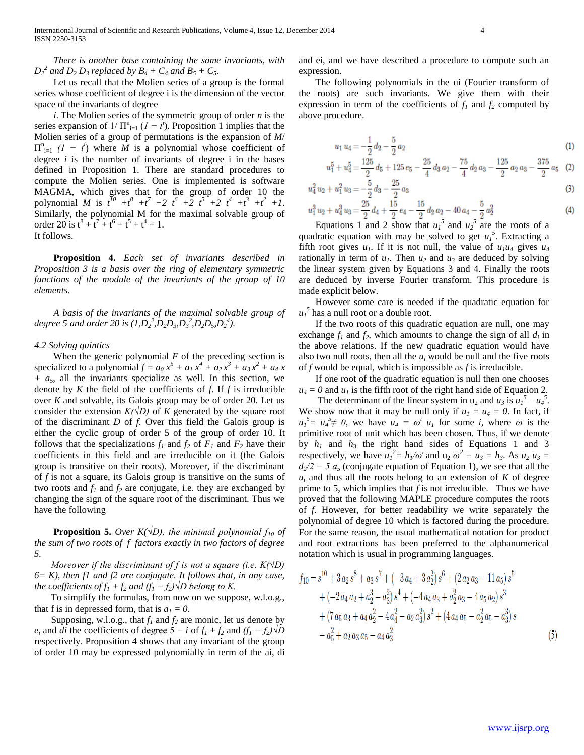*There is another base containing the same invariants, with*   $D_2^2$  and  $D_2 D_3$  replaced by  $B_4 + C_4$  and  $B_5 + C_5$ .

 Let us recall that the Molien series of a group is the formal series whose coefficient of degree i is the dimension of the vector space of the invariants of degree

 *i*. The Molien series of the symmetric group of order *n* is the series expansion of  $1/\prod_{i=1}^{n} (1 - t^i)$ . Proposition 1 implies that the Molien series of a group of permutations is the expansion of *M*/  $\Pi_{i=1}^{n}$  (*1 − t<sup>i</sup>*) where *M* is a polynomial whose coefficient of degree *i* is the number of invariants of degree i in the bases defined in Proposition 1. There are standard procedures to compute the Molien series. One is implemented is software MAGMA, which gives that for the group of order 10 the polynomial *M* is  $t^{10} + t^8 + t^7 + 2t^6 + 2t^5 + 2t^4 + t^3 + t^2 + 1$ . Similarly, the polynomial M for the maximal solvable group of order 20 is  $t^8 + t^7 + t^6 + t^5 + t^4 + 1$ . It follows.

 **Proposition 4.** *Each set of invariants described in Proposition 3 is a basis over the ring of elementary symmetric functions of the module of the invariants of the group of 10 elements.*

 *A basis of the invariants of the maximal solvable group of degree* 5 *and order* 20 *is*  $(I, D_2^2, D_2D_3, D_3^2, D_2D_5, D_2^4)$ .

# *4.2 Solving quintics*

When the generic polynomial  $F$  of the preceding section is specialized to a polynomial  $f = a_0 x^5 + a_1 x^4 + a_2 x^3 + a_3 x^2 + a_4 x$ *+ a5*, all the invariants specialize as well. In this section, we denote by *K* the field of the coefficients of *f*. If *f* is irreducible over *K* and solvable, its Galois group may be of order 20. Let us consider the extension  $K(\sqrt{D})$  of K generated by the square root of the discriminant *D* of *f*. Over this field the Galois group is either the cyclic group of order 5 of the group of order 10. It follows that the specializations  $f_1$  and  $f_2$  of  $F_1$  and  $F_2$  have their coefficients in this field and are irreducible on it (the Galois group is transitive on their roots). Moreover, if the discriminant of *f* is not a square, its Galois group is transitive on the sums of two roots and  $f_1$  and  $f_2$  are conjugate, i.e. they are exchanged by changing the sign of the square root of the discriminant. Thus we have the following

**Proposition 5.** *Over K*( $\sqrt{D}$ ), the minimal polynomial  $f_{10}$  of *the sum of two roots of f factors exactly in two factors of degree 5.*

 *Moreover if the discriminant of f is not a square (i.e. K(√D) 6= K), then f1 and f2 are conjugate. It follows that, in any case, the coefficients of*  $f_1 + f_2$  *and*  $(f_1 - f_2) \sqrt{D}$  *belong to K.* 

To simplify the formulas, from now on we suppose, w.l.o.g., that f is in depressed form, that is  $a_1 = 0$ .

Supposing, w.l.o.g., that  $f_1$  and  $f_2$  are monic, let us denote by  $e_i$  and *di* the coefficients of degree  $5 - i$  of  $f_1 + f_2$  and  $(f_1 - f_2)$ √D respectively. Proposition 4 shows that any invariant of the group of order 10 may be expressed polynomially in term of the ai, di and ei, and we have described a procedure to compute such an expression.

The following polynomials in the ui (Fourier transform of the roots) are such invariants. We give them with their expression in term of the coefficients of  $f_1$  and  $f_2$  computed by above procedure.

$$
u_1 u_4 = -\frac{1}{2} d_2 - \frac{5}{2} a_2 \tag{1}
$$

$$
u_1^5 + u_4^5 = \frac{125}{2}d_5 + 125e_5 - \frac{25}{4}d_3a_2 - \frac{75}{4}d_2a_3 - \frac{125}{2}a_2a_3 - \frac{375}{2}a_5
$$
 (2)

$$
u_4^2 u_2 + u_1^2 u_3 = -\frac{5}{2} d_3 - \frac{25}{2} a_3
$$
\n<sup>(3)</sup>

$$
u_1^3 \, u_2 + u_4^3 \, u_3 = \frac{25}{2} \, d_4 + \frac{15}{2} \, e_4 - \frac{15}{2} \, d_2 \, a_2 - 40 \, a_4 - \frac{5}{2} \, a_2^2
$$

Equations 1 and 2 show that  $u_1^5$  and  $u_2^5$  are the roots of a quadratic equation with may be solved to get  $u_1^5$ . Extracting a fifth root gives  $u_1$ . If it is not null, the value of  $u_1u_4$  gives  $u_4$ rationally in term of  $u_1$ . Then  $u_2$  and  $u_3$  are deduced by solving the linear system given by Equations 3 and 4. Finally the roots are deduced by inverse Fourier transform. This procedure is made explicit below.

However some care is needed if the quadratic equation for  $u_1^5$  has a null root or a double root.

If the two roots of this quadratic equation are null, one may exchange  $f_1$  and  $f_2$ , which amounts to change the sign of all  $d_i$  in the above relations. If the new quadratic equation would have also two null roots, then all the  $u_i$  would be null and the five roots of *f* would be equal, which is impossible as *f* is irreducible.

If one root of the quadratic equation is null then one chooses  $u_4 = 0$  and  $u_1$  is the fifth root of the right hand side of Equation 2.

The determinant of the linear system in  $u_2$  and  $u_3$  is  $u_1^5 - u_4^5$ . We show now that it may be null only if  $u_1 = u_4 = 0$ . In fact, if  $u_1^5 = u_4^5 \neq 0$ , we have  $u_4 = \omega^i u_1$  for some *i*, where  $\omega$  is the primitive root of unit which has been chosen. Thus, if we denote by  $h_1$  and  $h_3$  the right hand sides of Equations 1 and 3 respectively, we have  $u_1^2 = h_1/\omega^i$  and  $u_2 \omega^2 + u_3 = h_3$ . As  $u_2 u_3 =$  $d_2/2 - 5$  a<sub>5</sub> (conjugate equation of Equation 1), we see that all the  $u_i$  and thus all the roots belong to an extension of *K* of degree prime to 5, which implies that *f* is not irreducible. Thus we have proved that the following MAPLE procedure computes the roots of *f*. However, for better readability we write separately the polynomial of degree 10 which is factored during the procedure. For the same reason, the usual mathematical notation for product and root extractions has been preferred to the alphanumerical notation which is usual in programming languages.

$$
f_{10} = s^{10} + 3 a_2 s^8 + a_3 s^7 + (-3 a_4 + 3 a_2^2) s^6 + (2 a_2 a_3 - 11 a_5) s^5
$$
  
+ 
$$
(-2 a_4 a_2 + a_2^3 - a_3^2) s^4 + (-4 a_4 a_3 + a_2^2 a_3 - 4 a_5 a_2) s^3
$$
  
+ 
$$
(7 a_5 a_3 + a_4 a_2^2 - 4 a_4^2 - a_2 a_3^2) s^2 + (4 a_4 a_5 - a_2^2 a_5 - a_3^3) s
$$
  
- 
$$
a_5^2 + a_2 a_3 a_5 - a_4 a_3^2
$$
 (5)

 $(4)$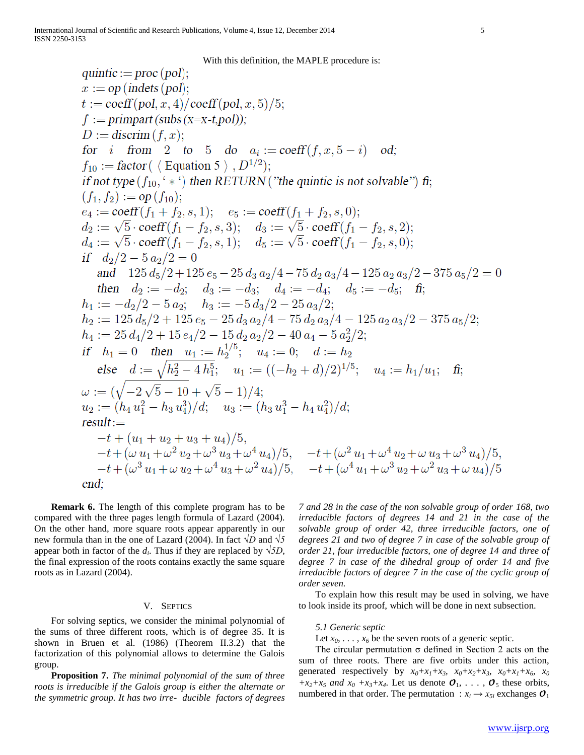With this definition, the MAPLE procedure is:

quintic := proc (pol);  
\nx := op (indets (pol);  
\nt := coeff(pol, x, 4)/coeff(pol, x, 5)/5;  
\nf := primary of (subs (x-x, 5))  
\nDo := discrimin (subs (x-x, 5)-1)  
\nfor i from 2 to 5 do 
$$
a_i
$$
 := coeff(f, x, 5-i) od;  
\n $f_{10}$  := factor ( $\langle Equation 5 \rangle, D^{1/2}$ );  
\nif not type  $(f_{10}, ' *')$  then  $RETURN$  ("the quintic is not solvable")  $\hat{\mathbf{n}}$ ;  
\n $(f_1, f_2) := op(f_{10});$   
\n $e_4 := coeff(f_1 + f_2, s, 1); e_5 := coeff(f_1 + f_2, s, 0);$   
\n $d_2 := \sqrt{5} \cdot coeff(f_1 - f_2, s, 3); d_3 := \sqrt{5} \cdot coeff(f_1 - f_2, s, 2);$   
\n $d_1 := \sqrt{5} \cdot coeff(f_1 - f_2, s, 1); d_5 := \sqrt{5} \cdot coeff(f_1 - f_2, s, 0);$   
\nif  $d_2/2 = 5 a_2/2 = 0$   
\nand 125  $d_5/2 + 125 e_5 - 25 d_3 a_2/4 - 75 d_2 a_3/4 - 125 a_2 a_3/2 - 375 a_5/2 = 0$   
\nthen  $d_2 := -d_2$ ;  $d_3 := -d_3$ ;  $d_4 := -d_4$ ;  $d_5 := -d_5$ ;  $\hat{\mathbf{f}}$ ;  
\n $h_1 := -d_2/2 - 5 a_2$ ;  $h_3 := -5 d_3/2 - 25 a_3/2$ ;  
\n $h_2 := 125 d_3/2 + 125 e_5 - 25 d_3 a_2/4 - 75 d_2 a_3/4 - 125 a_2 a_3/2 - 375 a_5/2;$   
\n $h_1 := 25 d_4/2 + 15 e_4/2 - 15 d_2 a_2/2 - 40 a_4 - 5 a_2^2/2;$   
\n $h_1 := 25 d_4/2 + 15 e_4/$ 

**Remark 6.** The length of this complete program has to be compared with the three pages length formula of Lazard (2004). On the other hand, more square roots appear apparently in our new formula than in the one of Lazard (2004). In fact *√D* and *√5* appear both in factor of the  $d_i$ . Thus if they are replaced by  $\sqrt{5D}$ , the final expression of the roots contains exactly the same square roots as in Lazard (2004).

#### V. SEPTICS

For solving septics, we consider the minimal polynomial of the sums of three different roots, which is of degree 35. It is shown in Bruen et al. (1986) (Theorem II.3.2) that the factorization of this polynomial allows to determine the Galois group.

**Proposition 7.** *The minimal polynomial of the sum of three roots is irreducible if the Galois group is either the alternate or the symmetric group. It has two irre- ducible factors of degrees* 

*7 and 28 in the case of the non solvable group of order 168, two irreducible factors of degrees 14 and 21 in the case of the solvable group of order 42, three irreducible factors, one of degrees 21 and two of degree 7 in case of the solvable group of order 21, four irreducible factors, one of degree 14 and three of degree 7 in case of the dihedral group of order 14 and five irreducible factors of degree 7 in the case of the cyclic group of order seven.*

To explain how this result may be used in solving, we have to look inside its proof, which will be done in next subsection.

# *5.1 Generic septic*

Let  $x_0$ ,  $\ldots$ ,  $x_6$  be the seven roots of a generic septic.

The circular permutation  $\sigma$  defined in Section 2 acts on the sum of three roots. There are five orbits under this action, generated respectively by  $x_0 + x_1 + x_3$ ,  $x_0 + x_2 + x_3$ ,  $x_0 + x_1 + x_6$ ,  $x_0$  $+x_2+x_5$  *and*  $x_0 +x_3+x_4$ . Let us denote  $\mathcal{O}_1, \ldots, \mathcal{O}_5$  these orbits, numbered in that order. The permutation :  $x_i \rightarrow x_{5i}$  exchanges  $\mathcal{O}_1$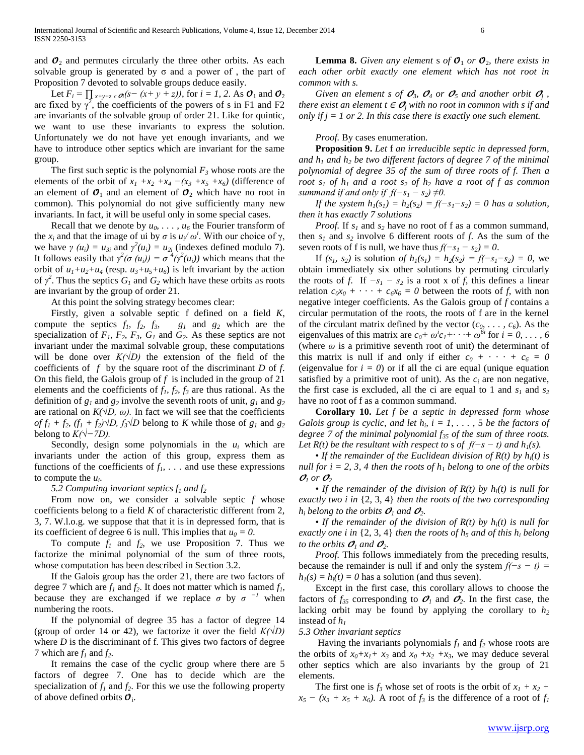and  $\mathcal{O}_2$  and permutes circularly the three other orbits. As each solvable group is generated by  $\sigma$  and a power of, the part of Proposition 7 devoted to solvable groups deduce easily.

Let  $F_i = \prod_{x+y+z \in \mathcal{O}_i}(s-(x+y+z))$ , for  $i=1, 2$ . As  $\mathcal{O}_1$  and  $\mathcal{O}_2$ are fixed by  $\gamma^2$ , the coefficients of the powers of s in F1 and F2 are invariants of the solvable group of order 21. Like for quintic, we want to use these invariants to express the solution. Unfortunately we do not have yet enough invariants, and we have to introduce other septics which are invariant for the same group.

The first such septic is the polynomial  $F_3$  whose roots are the elements of the orbit of  $x_1 + x_2 + x_4 - (x_3 + x_5 + x_6)$  (difference of an element of  $\mathcal{O}_1$  and an element of  $\mathcal{O}_2$  which have no root in common). This polynomial do not give sufficiently many new invariants. In fact, it will be useful only in some special cases.

**Recall that we denote by**  $u_0, \ldots, u_6$  **the Fourier transform of** the  $x_i$  and that the image of ui by  $\sigma$  is  $u_i / \omega^i$ . With our choice of  $\gamma$ , we have  $\gamma$  ( $u_i$ ) =  $u_{3i}$  and  $\gamma^2(u_i) = u_{2i}$  (indexes defined modulo 7). It follows easily that  $\gamma^2(\sigma(u_i)) = \sigma^4(\gamma^2(u_i))$  which means that the orbit of  $u_1 + u_2 + u_4$  (resp.  $u_3 + u_5 + u_6$ ) is left invariant by the action of  $\gamma^2$ . Thus the septics  $G_l$  and  $G_2$  which have these orbits as roots are invariant by the group of order 21.

At this point the solving strategy becomes clear:

Firstly, given a solvable septic f defined on a field *K*, compute the septics  $f_1$ ,  $f_2$ ,  $f_3$ ,  $g_1$  and  $g_2$  which are the specialization of  $F_1$ ,  $F_2$ ,  $F_3$ ,  $G_1$  and  $G_2$ . As these septics are not invariant under the maximal solvable group, these computations will be done over  $K(\sqrt{D})$  the extension of the field of the coefficients of *f* by the square root of the discriminant *D* of *f*. On this field, the Galois group of *f* is included in the group of 21 elements and the coefficients of *f1, f2, f<sup>3</sup>* are thus rational. As the definition of *g<sup>1</sup>* and *g<sup>2</sup>* involve the seventh roots of unit, *g<sup>1</sup>* and *g<sup>2</sup>* are rational on  $K(\sqrt{D}, \omega)$ . In fact we will see that the coefficients  $of f_1 + f_2$ ,  $(f_1 + f_2) \sqrt{D}$ ,  $f_3 \sqrt{D}$  belong to *K* while those of  $g_1$  and  $g_2$ belong to  $K(\sqrt{-7D})$ .

Secondly, design some polynomials in the  $u_i$  which are invariants under the action of this group, express them as functions of the coefficients of  $f_1$ ,  $\ldots$  and use these expressions to compute the *u<sup>i</sup>* .

 *5.2 Computing invariant septics f<sup>1</sup> and f<sup>2</sup>*

From now on, we consider a solvable septic *f* whose coefficients belong to a field *K* of characteristic different from 2, 3, 7. W.l.o.g. we suppose that that it is in depressed form, that is its coefficient of degree 6 is null. This implies that  $u_0 = 0$ .

To compute  $f_1$  and  $f_2$ , we use Proposition 7. Thus we factorize the minimal polynomial of the sum of three roots, whose computation has been described in Section 3.2.

If the Galois group has the order 21, there are two factors of degree 7 which are  $f_1$  and  $f_2$ . It does not matter which is named  $f_1$ , because they are exchanged if we replace  $\sigma$  by  $\sigma^{-1}$  when numbering the roots.

If the polynomial of degree 35 has a factor of degree 14 (group of order 14 or 42), we factorize it over the field *K(√D)* where *D* is the discriminant of f. This gives two factors of degree 7 which are  $f_1$  and  $f_2$ .

It remains the case of the cyclic group where there are 5 factors of degree 7. One has to decide which are the specialization of  $f_1$  and  $f_2$ . For this we use the following property of above defined orbits  $\mathcal{O}_i$ .

**Lemma 8.** Given any element s of  $\mathcal{O}_1$  or  $\mathcal{O}_2$ , there exists in *each other orbit exactly one element which has not root in common with s.*

*Given an element s of*  $\mathcal{O}_3$ *,*  $\mathcal{O}_4$  *or*  $\mathcal{O}_5$  *and another orbit*  $\mathcal{O}_j$ *, there exist an element*  $t \in O_i$  *with no root in common with s if and only if j = 1 or 2. In this case there is exactly one such element.*

# *Proof.* By cases enumeration.

**Proposition 9.** *Let* f *an irreducible septic in depressed form, and h<sup>1</sup> and h<sup>2</sup> be two different factors of degree 7 of the minimal polynomial of degree 35 of the sum of three roots of f. Then a root*  $s_1$  *of*  $h_1$  *and a root*  $s_2$  *of*  $h_2$  *have a root of f as common summand if and only if*  $f(-s_1 - s_2) \neq 0$ *.* 

 *If the system*  $h_1(s_1) = h_2(s_2) = f(-s_1 - s_2) = 0$  *has a solution, then it has exactly 7 solutions*

 *Proof.* If *s<sup>1</sup>* and *s<sup>2</sup>* have no root of f as a common summand, then  $s_1$  and  $s_2$  involve 6 different roots of *f*. As the sum of the seven roots of f is null, we have thus  $f(-s_1 - s_2) = 0$ .

If  $(s_1, s_2)$  is solution *of h*<sub>1</sub> $(s_1) = h_2(s_2) = f(-s_1 - s_2) = 0$ , we obtain immediately six other solutions by permuting circularly the roots of *f*. If  $-s_1 - s_2$  is a root x of *f*, this defines a linear relation  $c_0x_0 + \cdots + c_6x_6 = 0$  between the roots of *f*, with non negative integer coefficients. As the Galois group of *f* contains a circular permutation of the roots, the roots of f are in the kernel of the circulant matrix defined by the vector  $(c_0, \ldots, c_6)$ . As the eigenvalues of this matrix are  $c_0 + \omega^i c_1 + \cdots + \omega^{6i}$  for  $i = 0, \ldots, 6$ (where *ω* is a primitive seventh root of unit) the determinant of this matrix is null if and only if either  $c_0 + \cdots + c_6 = 0$ (eigenvalue for  $i = 0$ ) or if all the ci are equal (unique equation satisfied by a primitive root of unit). As the  $c_i$  are non negative, the first case is excluded, all the ci are equal to 1 and  $s_1$  and  $s_2$ have no root of f as a common summand.

**Corollary 10.** *Let f be a septic in depressed form whose Galois group is cyclic, and let*  $h_i$ ,  $i = 1, \ldots, 5$  *be the factors of degree 7 of the minimal polynomial f<sup>35</sup> of the sum of three roots. Let*  $R(t)$  *be the resultant with respect to s of*  $f(-s - t)$  *and*  $h_1(s)$ *.* 

• If the remainder of the Euclidean division of  $R(t)$  by  $h_i(t)$  is *null for i* = 2, 3, 4 *then the roots of*  $h_1$  *belong to one of the orbits*  $\mathcal{O}_1$  or  $\mathcal{O}_2$ 

• *If the remainder of the division of R(t) by hi(t) is null for exactly two i in* {2, 3, 4} *then the roots of the two corresponding h*<sub>*i*</sub> *belong to the orbits*  $\mathcal{O}_1$  *and*  $\mathcal{O}_2$ *.* 

• *If the remainder of the division of R(t) by hi(t) is null for exactly one i* in  $\{2, 3, 4\}$  *then the roots of h<sub>5</sub> and of this h<sub>i</sub> belong to the orbits*  $O_1$  *and*  $O_2$ *.* 

*Proof.* This follows immediately from the preceding results, because the remainder is null if and only the system  $f(-s - t) =$  $h_1(s) = h_i(t) = 0$  has a solution (and thus seven).

Except in the first case, this corollary allows to choose the factors of  $f_{35}$  corresponding to  $O_1$  and  $O_2$ . In the first case, the lacking orbit may be found by applying the corollary to *h<sup>2</sup>* instead of *h<sup>1</sup>*

# *5.3 Other invariant septics*

Having the invariants polynomials  $f_1$  and  $f_2$  whose roots are the orbits of  $x_0 + x_1 + x_3$  and  $x_0 + x_2 + x_3$ , we may deduce several other septics which are also invariants by the group of 21 elements.

The first one is  $f_3$  whose set of roots is the orbit of  $x_1 + x_2 +$  $x_5 - (x_3 + x_5 + x_6)$ . A root of  $f_3$  is the difference of a root of  $f_1$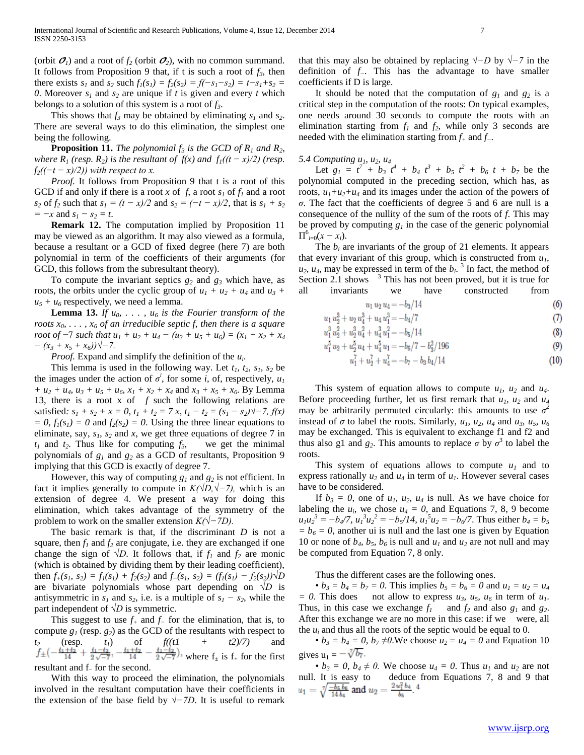(orbit  $\mathcal{O}_1$ ) and a root of  $f_2$  (orbit  $\mathcal{O}_2$ ), with no common summand. It follows from Proposition 9 that, if t is such a root of  $f_3$ , then there exists  $s_1$  and  $s_2$  such  $f_1(s_1) = f_2(s_2) = f(-s_1 - s_2) = t - s_1 + s_2$ *0*. Moreover  $s_1$  and  $s_2$  are unique if *t* is given and every *t* which belongs to a solution of this system is a root of *f3*.

This shows that  $f_3$  may be obtained by eliminating  $s_1$  and  $s_2$ . There are several ways to do this elimination, the simplest one being the following.

**Proposition 11.** *The polynomial*  $f_3$  *is the GCD of R<sub>1</sub></sub> and R<sub>2</sub><i>, where R<sub>1</sub>* (*resp. R*<sub>2</sub>*) is the resultant of f(x) and f<sub>1</sub>*(( $t - x$ )/2) (*resp.*  $f_2((-t-x)/2)$ ) with respect to x.

*Proof.* It follows from Proposition 9 that t is a root of this GCD if and only if there is a root *x* of *f*, a root  $s<sub>I</sub>$  of  $f<sub>I</sub>$  and a root *s*<sub>2</sub> of  $f_2$  such that  $s_1 = (t - x)/2$  and  $s_2 = (-t - x)/2$ , that is  $s_1 + s_2$  $= -x$  and  $s_1 - s_2 = t$ .

**Remark 12.** The computation implied by Proposition 11 may be viewed as an algorithm. It may also viewed as a formula, because a resultant or a GCD of fixed degree (here 7) are both polynomial in term of the coefficients of their arguments (for GCD, this follows from the subresultant theory).

To compute the invariant septics  $g_2$  and  $g_3$  which have, as roots, the orbits under the cyclic group of  $u_1 + u_2 + u_4$  and  $u_3$  +  $u_5 + u_6$  respectively, we need a lemma.

**Lemma 13.** *If*  $u_0$ , ...,  $u_6$  *is the Fourier transform of the roots*  $x_0$ , ...,  $x_6$  *of an irreducible septic f, then there is a square root of*  $-7$  *such that*  $u_1 + u_2 + u_4 - (u_3 + u_5 + u_6) = (x_1 + x_2 + x_4)$ *− (x<sup>3</sup> + x<sup>5</sup> + x6))√−7.*

*Proof.* Expand and simplify the definition of the  $u_i$ .

This lemma is used in the following way. Let  $t_1$ ,  $t_2$ ,  $s_1$ ,  $s_2$  be the images under the action of  $\sigma^i$ , for some *i*, of, respectively,  $u_1$ *+*  $u_2$  *+*  $u_4$ *,*  $u_3$  *+*  $u_5$  *+*  $u_6$ *,*  $x_1$  *+*  $x_2$  *+*  $x_4$  and  $x_3$  *+*  $x_5$  *+*  $x_6$ *.* By Lemma 13, there is a root x of *f* such the following relations are satisfied:  $s_1 + s_2 + x = 0$ ,  $t_1 + t_2 = 7$  *x*,  $t_1 - t_2 = (s_1 - s_2)\sqrt{-7}$ ,  $f(x)$  $= 0$ ,  $f_1(s_1) = 0$  and  $f_2(s_2) = 0$ . Using the three linear equations to eliminate, say, *s1, s<sup>2</sup>* and *x*, we get three equations of degree 7 in  $t_1$  and  $t_2$ . Thus like for computing  $f_3$ , we get the minimal polynomials of  $g_1$  and  $g_2$  as a GCD of resultants, Proposition 9 implying that this GCD is exactly of degree 7.

However, this way of computing  $g_1$  and  $g_2$  is not efficient. In fact it implies generally to compute in *K(√D,√−7),* which is an extension of degree 4. We present a way for doing this elimination, which takes advantage of the symmetry of the problem to work on the smaller extension *K(√−7D).*

The basic remark is that, if the discriminant *D* is not a square, then  $f_1$  and  $f_2$  are conjugate, i.e. they are exchanged if one change the sign of *√D*. It follows that, if  $f_1$  and  $f_2$  are monic (which is obtained by dividing them by their leading coefficient), then  $f_+(s_1, s_2) = f_1(s_1) + f_2(s_2)$  and  $f_-(s_1, s_2) = (f_1(s_1) - f_2(s_2))\sqrt{D}$ are bivariate polynomials whose part depending on *√D* is antisymmetric in  $s_1$  and  $s_2$ , i.e. is a multiple of  $s_1 - s_2$ , while the part independent of *√D* is symmetric.

This suggest to use  $f_+$  and  $f_-$  for the elimination, that is, to compute  $g_1$  (resp.  $g_2$ ) as the GCD of the resultants with respect to  $t_2$  (resp.  $t_1$ ) of  $f((t1 + t2)/7)$  and where  $f_{\pm}$  is  $f_{+}$  for the first resultant and f<sup>−</sup> for the second.

With this way to proceed the elimination, the polynomials involved in the resultant computation have their coefficients in the extension of the base field by *√−7D*. It is useful to remark

that this may also be obtained by replacing *√−D* by *√−7* in the definition of *f−*. This has the advantage to have smaller coefficients if D is large.

It should be noted that the computation of  $g_1$  and  $g_2$  is a critical step in the computation of the roots: On typical examples, one needs around 30 seconds to compute the roots with an elimination starting from  $f_1$  and  $f_2$ , while only 3 seconds are needed with the elimination starting from *f<sup>+</sup>* and *f−*.

# *5.4 Computing u1, u2, u<sup>4</sup>*

Let  $g_1 = t^7 + b_3 t^4 + b_4 t^3 + b_5 t^2 + b_6 t + b_7$  be the polynomial computed in the preceding section, which has, as roots,  $u_1 + u_2 + u_4$  and its images under the action of the powers of *σ*. The fact that the coefficients of degree 5 and 6 are null is a consequence of the nullity of the sum of the roots of *f*. This may be proved by computing  $g_l$  in the case of the generic polynomial  $\Pi_{i=0}^{6}(x-x_i)$ .

The  $b_i$  are invariants of the group of 21 elements. It appears that every invariant of this group, which is constructed from  $u<sub>l</sub>$ ,  $u_2$ ,  $u_4$ , may be expressed in term of the  $b_i$ .<sup>3</sup> In fact, the method of Section 2.1 shows  $3$  This has not been proved, but it is true for all invariants we have constructed from

$$
u_1 u_2 u_4 = -b_3/14 \tag{6}
$$

$$
u_1 u_2^3 + u_2 u_4^3 + u_4 u_1^3 = -b_4/7 \tag{7}
$$

$$
u_1^3 u_2^2 + u_2^3 u_4^2 + u_4^3 u_1^2 = -b_5/14\tag{8}
$$

$$
u_1^5 u_2 + u_2^5 u_4 + u_4^5 u_1 = -b_6/7 - b_3^2/196\tag{9}
$$

$$
u_1^7 + u_2^7 + u_4^7 = -b_7 - b_3 b_4/14\tag{10}
$$

This system of equation allows to compute  $u_1$ ,  $u_2$  and  $u_4$ . Before proceeding further, let us first remark that  $u_1$ ,  $u_2$  and  $u_4$ may be arbitrarily permuted circularly: this amounts to use  $\sigma^2$ instead of  $\sigma$  to label the roots. Similarly,  $u_1$ ,  $u_2$ ,  $u_4$  and  $u_3$ ,  $u_5$ ,  $u_6$ may be exchanged. This is equivalent to exchange f1 and f2 and thus also g1 and  $g_2$ . This amounts to replace  $\sigma$  by  $\sigma^3$  to label the roots.

This system of equations allows to compute  $u_1$  and to express rationally  $u_2$  and  $u_4$  in term of  $u_1$ . However several cases have to be considered.

If  $b_3 = 0$ , one of  $u_1$ ,  $u_2$ ,  $u_4$  is null. As we have choice for labeling the  $u_i$ , we chose  $u_4 = 0$ , and Equations 7, 8, 9 become  $u_1u_2^3 = -b_4/7$ ,  $u_1^3u_2^2 = -b_5/14$ ,  $u_1^5u_2 = -b_6/7$ . Thus either  $b_4 = b_5$  $= b_6 = 0$ , another ui is null and the last one is given by Equation 10 or none of  $b_4$ ,  $b_5$ ,  $b_6$  is null and  $u_1$  and  $u_2$  are not null and may be computed from Equation 7, 8 only.

Thus the different cases are the following ones.

•  $b_3 = b_4 = b_7 = 0$ . This implies  $b_5 = b_6 = 0$  and  $u_1 = u_2 = u_4$  $= 0$ . This does not allow to express  $u_3$ ,  $u_5$ ,  $u_6$  in term of  $u_1$ . Thus, in this case we exchange  $f_1$  and  $f_2$  and also  $g_1$  and  $g_2$ . After this exchange we are no more in this case: if we were, all the  $u_i$  and thus all the roots of the septic would be equal to 0.

•  $b_3 = b_4 = 0$ ,  $b_7 \neq 0$ . We choose  $u_2 = u_4 = 0$  and Equation 10 gives  $u_1 = -\sqrt[7]{b_7}$ .

•  $b_3 = 0$ ,  $b_4 \neq 0$ . We choose  $u_4 = 0$ . Thus  $u_1$  and  $u_2$  are not null. It is easy to deduce from Equations 7, 8 and 9 that  $u_1 = \sqrt[7]{\frac{-b_5 b_6}{14 b_4}}$  and  $u_2 = \frac{2 u_1^2 b_4}{b_5}$ .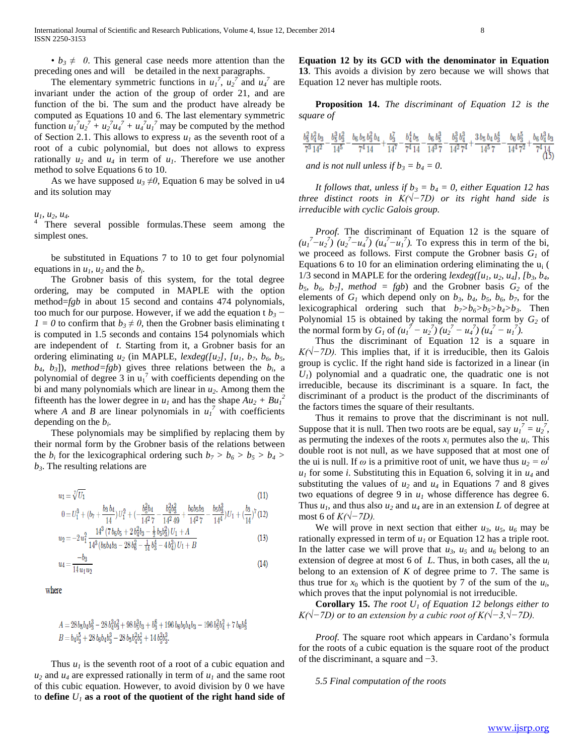•  $b_3 \neq 0$ . This general case needs more attention than the preceding ones and will be detailed in the next paragraphs.

The elementary symmetric functions in  $u_1^7$ ,  $u_2^7$  and  $u_4^7$  are invariant under the action of the group of order 21, and are function of the bi. The sum and the product have already be computed as Equations 10 and 6. The last elementary symmetric function  $u_1^7 u_2^7 + u_2^7 u_4^7 + u_4^7 u_1^7$  may be computed by the method of Section 2.1. This allows to express  $u_1$  as the seventh root of a root of a cubic polynomial, but does not allows to express rationally  $u_2$  and  $u_4$  in term of  $u_1$ . Therefore we use another method to solve Equations 6 to 10.

As we have supposed  $u_3 \neq 0$ , Equation 6 may be solved in u4 and its solution may

# *u1, u2, u4.*

<sup>4</sup> There several possible formulas.These seem among the simplest ones.

be substituted in Equations 7 to 10 to get four polynomial equations in  $u_1$ ,  $u_2$  and the  $b_i$ .

The Grobner basis of this system, for the total degree ordering, may be computed in MAPLE with the option method=*fgb* in about 15 second and contains 474 polynomials, too much for our purpose. However, if we add the equation t  $b_3$  – *1* = *0* to confirm that  $b_3 \neq 0$ , then the Grobner basis eliminating t is computed in 1.5 seconds and contains 154 polynomials which are independent of *t*. Starting from it, a Grobner basis for an ordering eliminating  $u_2$  (in MAPLE, *lexdeg([u<sub>2</sub>]*, *[u<sub>1</sub>*,  $b_7$ ,  $b_6$ ,  $b_5$ ,  $b_4$ ,  $b_3$ ]), *method=fgb*) gives three relations between the  $b_i$ , a polynomial of degree  $3$  in  $u_1^7$  with coefficients depending on the bi and many polynomials which are linear in  $u_2$ . Among them the fifteenth has the lower degree in  $u_1$  and has the shape  $Au_2 + Bu_1^2$ where *A* and *B* are linear polynomials in  $u_1^7$  with coefficients depending on the *b<sup>i</sup>* .

These polynomials may be simplified by replacing them by their normal form by the Grobner basis of the relations between the  $b_i$  for the lexicographical ordering such  $b_7 > b_6 > b_5 > b_4 >$ *b3*. The resulting relations are

$$
u_1 = \sqrt[7]{U_1}
$$
 (11)

$$
0 = U_1^3 + (b_7 + \frac{b_3 b_4}{14}) U_1^2 + (-\frac{b_5^2 b_4}{14^2 7} - \frac{b_4^2 b_3^2}{14^2 49} + \frac{b_6 b_5 b_3}{14^2 7} - \frac{b_5 b_3^2}{14^4}) U_1 + (\frac{b_3}{14})^7 (12)
$$

$$
u_2 = -2u_1^2 \frac{14 (10605 + 20403 - 20503)U_1 + A}{14^3 (b5b_4b_3 - 28b_6^2 - \frac{1}{14}b_3^4 - 4b_4^3)U_1 + B}
$$
(13)

$$
u_4 = \frac{v_{03}}{14u_1u_2} \tag{14}
$$

where

$$
\begin{array}{l} A = 28 \, b_5b_4b_3^3 - 28 \, b_4^3b_3^2 + 98 \, b_5^3b_3 + b_3^6 + 196 \, b_5b_5b_4b_3 - 196 \, b_5^2b_4^2 + 7 \, b_6b_3^4 \\ B = b_4b_3^5 + 28 \, b_5b_4b_3^3 - 28 \, b_5b_4^2b_3^2 + 14 \, b_5^2b_3^3. \end{array}
$$

Thus  $u_1$  is the seventh root of a root of a cubic equation and  $u_2$  and  $u_4$  are expressed rationally in term of  $u_1$  and the same root of this cubic equation. However, to avoid division by 0 we have to **define**  $U_1$  **as a root of the quotient of the right hand side of**  **Equation 12 by its GCD with the denominator in Equation 13**. This avoids a division by zero because we will shows that Equation 12 never has multiple roots.

**Proposition 14.** *The discriminant of Equation 12 is the square of* 

$$
\frac{b_5^2 b_4^2 b_3}{7^3 14^2} - \frac{b_5^3 b_3^2}{14^5} - \frac{b_6 b_5 b_3^2 b_4}{7^4 14} + \frac{b_4^7}{14^7} - \frac{b_4^4 b_5}{7^4 14} - \frac{b_6 b_5^3}{14^3 7} - \frac{b_3^3 b_4^3}{14^2 7^4} + \frac{3 b_5 b_4 b_3^4}{14^5 7} - \frac{b_6 b_5^5}{14^4 7^2} + \frac{b_6 b_4^3 b_3}{7^4 14}
$$
  
and is not null unless if  $b_3 = b_4 = 0$ .  
(15)

*It follows that, unless if*  $b_3 = b_4 = 0$ , either Equation 12 has *three distinct roots in K(√−7D) or its right hand side is irreducible with cyclic Galois group.*

*Proof.* The discriminant of Equation 12 is the square of  $(u_1^7 - u_2^7)(u_2^7 - u_4^7)(u_4^7 - u_1^7)$ . To express this in term of the bi, we proceed as follows. First compute the Grobner basis  $G_l$  of Equations 6 to 10 for an elimination ordering eliminating the  $u_i$  ( 1/3 second in MAPLE for the ordering  $lexdeg([u_1, u_2, u_4], [b_3, b_4, b_5])$  $b_5$ ,  $b_6$ ,  $b_7$ *]*, *method* = *fgb*) and the Grobner basis  $G_2$  of the elements of  $G_1$  which depend only on  $b_3$ ,  $b_4$ ,  $b_5$ ,  $b_6$ ,  $b_7$ , for the lexicographical ordering such that *b7>b6>b5>b4>b3*. Then Polynomial 15 is obtained by taking the normal form by *G<sup>2</sup>* of the normal form by  $G_1$  of  $(u_1^7 - u_2^7)(u_2^7 - u_4^7)(u_4^7 - u_1^7)$ .

Thus the discriminant of Equation 12 is a square in *K*(√−*7D*). This implies that, if it is irreducible, then its Galois group is cyclic. If the right hand side is factorized in a linear (in *U1*) polynomial and a quadratic one, the quadratic one is not irreducible, because its discriminant is a square. In fact, the discriminant of a product is the product of the discriminants of the factors times the square of their resultants.

Thus it remains to prove that the discriminant is not null. Suppose that it is null. Then two roots are be equal, say  $u_1^7 = u_2^7$ , as permuting the indexes of the roots  $x_i$  permutes also the  $u_i$ . This double root is not null, as we have supposed that at most one of the ui is null. If  $\omega$  is a primitive root of unit, we have thus  $u_2 = \omega^i$  $u_1$  for some *i*. Substituting this in Equation 6, solving it in  $u_4$  and substituting the values of  $u_2$  and  $u_4$  in Equations 7 and 8 gives two equations of degree 9 in  $u_1$  whose difference has degree 6. Thus  $u_1$ , and thus also  $u_2$  and  $u_4$  are in an extension *L* of degree at most 6 of *K(√−7D).*

We will prove in next section that either  $u_3$ ,  $u_5$ ,  $u_6$  may be rationally expressed in term of *u<sup>1</sup>* or Equation 12 has a triple root. In the latter case we will prove that  $u_3$ ,  $u_5$  and  $u_6$  belong to an extension of degree at most 6 of *L*. Thus, in both cases, all the *u<sup>i</sup>* belong to an extension of  $K$  of degree prime to 7. The same is thus true for  $x_0$  which is the quotient by 7 of the sum of the  $u_i$ , which proves that the input polynomial is not irreducible.

**Corollary 15.** *The root U<sup>1</sup> of Equation 12 belongs either to K(√−7D) or to an extension by a cubic root of K(√−3,√−7D).* 

*Proof.* The square root which appears in Cardano's formula for the roots of a cubic equation is the square root of the product of the discriminant, a square and −3.

 *5.5 Final computation of the roots*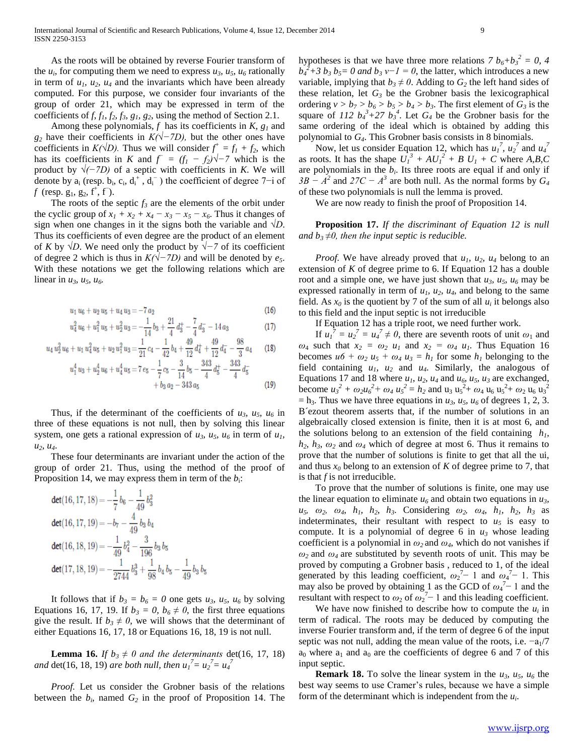As the roots will be obtained by reverse Fourier transform of the  $u_i$ , for computing them we need to express  $u_3$ ,  $u_5$ ,  $u_6$  rationally in term of  $u_1$ ,  $u_2$ ,  $u_4$  and the invariants which have been already computed. For this purpose, we consider four invariants of the group of order 21, which may be expressed in term of the coefficients of  $f$ ,  $f_1$ ,  $f_2$ ,  $f_3$ ,  $g_1$ ,  $g_2$ , using the method of Section 2.1.

Among these polynomials,  $f$  has its coefficients in  $K$ ,  $g<sub>1</sub>$  and *g*<sub>2</sub> have their coefficients in *K(√−7D)*, but the other ones have coefficients in  $K(\sqrt{D})$ . Thus we will consider  $f^+ = f_1 + f_2$ , which has its coefficients in *K* and  $f = (f_1 - f_2)\sqrt{-7}$  which is the product by *√(−7D)* of a septic with coefficients in *K*. We will denote by  $a_i$  (resp.  $b_i$ ,  $c_i$ ,  $d_i^+$ ,  $d_i^-$ ) the coefficient of degree 7-i of *f* (resp.  $g_1, g_2, f^{\dagger}, f^-$ ).

The roots of the septic  $f_3$  are the elements of the orbit under the cyclic group of  $x_1 + x_2 + x_4 - x_3 - x_5 - x_6$ . Thus it changes of sign when one changes in it the signs both the variable and *√D*. Thus its coefficients of even degree are the product of an element of *K* by *√D*. We need only the product by *√−7* of its coefficient of degree 2 which is thus in *K(√−7D)* and will be denoted by *e5*. With these notations we get the following relations which are linear in *u3, u5, u6.* 

$$
u_1 u_6 + u_2 u_5 + u_4 u_3 = -7 a_2 \tag{16}
$$

$$
u_4^2 u_6 + u_1^2 u_5 + u_2^2 u_3 = -\frac{1}{14} b_3 + \frac{21}{4} d_3^+ - \frac{7}{4} d_3^- - 14 a_3 \tag{17}
$$

$$
u_4 u_2^2 u_6 + u_1 u_4^2 u_5 + u_2 u_1^2 u_3 = \frac{1}{21} c_4 - \frac{1}{42} b_4 + \frac{49}{12} d_4^+ + \frac{49}{12} d_4^- - \frac{98}{3} a_4 \tag{18}
$$
  

$$
u_1^4 u_3 + u_2^4 u_6 + u_4^4 u_5 = 7 e_5 - \frac{1}{5} c_5 - \frac{3}{5} d_5^- - \frac{343}{5} d_5^+ - \frac{343}{5} d_5^-
$$

$$
+b_3 a_2 - 343 a_5
$$
 (19)

Thus, if the determinant of the coefficients of  $u_3$ *,*  $u_5$ *,*  $u_6$  in three of these equations is not null, then by solving this linear system, one gets a rational expression of  $u_3$ ,  $u_5$ ,  $u_6$  in term of  $u_1$ , *u2, u4*.

These four determinants are invariant under the action of the group of order 21. Thus, using the method of the proof of Proposition 14, we may express them in term of the  $b_i$ :

$$
det(16, 17, 18) = -\frac{1}{7}b_6 - \frac{1}{49}b_3^2
$$
  
\n
$$
det(16, 17, 19) = -b_7 - \frac{4}{49}b_3b_4
$$
  
\n
$$
det(16, 18, 19) = -\frac{1}{49}b_4^2 - \frac{3}{196}b_3b_5
$$
  
\n
$$
det(17, 18, 19) = -\frac{1}{2744}b_3^3 + \frac{1}{98}b_4b_5 - \frac{1}{49}b_3b_5
$$

It follows that if  $b_3 = b_6 = 0$  one gets  $u_3$ ,  $u_5$ ,  $u_6$  by solving Equations 16, 17, 19. If  $b_3 = 0$ ,  $b_6 \neq 0$ , the first three equations give the result. If  $b_3 \neq 0$ , we will shows that the determinant of either Equations 16, 17, 18 or Equations 16, 18, 19 is not null.

**Lemma 16.** *If*  $b_3 \neq 0$  and the determinants det(16, 17, 18) *and*  $\det(16, 18, 19)$  *are both null, then*  $u_1^7 = u_2^7 = u_4^7$ 

 *Proof.* Let us consider the Grobner basis of the relations between the  $b_i$ , named  $G_2$  in the proof of Proposition 14. The

hypotheses is that we have three more relations  $7 b_6 + b_3^2 = 0$ , 4  $b_4^2 + 3 b_3 b_5 = 0$  and  $b_3 v - 1 = 0$ , the latter, which introduces a new variable, implying that  $b_3 \neq 0$ . Adding to  $G_2$  the left hand sides of these relation, let  $G_3$  be the Grobner basis the lexicographical ordering  $v > b_7 > b_6 > b_5 > b_4 > b_3$ . The first element of  $G_3$  is the square of 112  $b_4^3$ +27  $b_3^4$ . Let  $G_4$  be the Grobner basis for the same ordering of the ideal which is obtained by adding this polynomial to *G4*. This Grobner basis consists in 8 binomials.

Now, let us consider Equation 12, which has  $u_1^7$ ,  $u_2^7$  and  $u_4^7$ as roots. It has the shape  $U_I^3 + AU_I^2 + BU_I + C$  where *A,B,C* are polynomials in the  $b_i$ . Its three roots are equal if and only if  $3B - A^2$  and  $27C - A^3$  are both null. As the normal forms by  $G_4$ of these two polynomials is null the lemma is proved.

We are now ready to finish the proof of Proposition 14.

**Proposition 17.** *If the discriminant of Equation 12 is null and*  $b_3 \neq 0$ *, then the input septic is reducible.* 

 *Proof.* We have already proved that *u1, u2, u<sup>4</sup>* belong to an extension of *K* of degree prime to 6. If Equation 12 has a double root and a simple one, we have just shown that  $u_3$ ,  $u_5$ ,  $u_6$  may be expressed rationally in term of  $u_1$ ,  $u_2$ ,  $u_4$ , and belong to the same field. As  $x_0$  is the quotient by 7 of the sum of all  $u_i$  it belongs also to this field and the input septic is not irreducible

If Equation 12 has a triple root, we need further work.

If  $u_1^{\gamma} = u_2^{\gamma} = u_4^{\gamma} \neq 0$ , there are seventh roots of unit  $\omega_1$  and  $\omega_4$  such that  $x_2 = \omega_2$   $u_1$  and  $x_2 = \omega_4$   $u_1$ . Thus Equation 16 becomes  $u_0 + \omega_2 u_5 + \omega_4 u_3 = h_1$  for some  $h_1$  belonging to the field containing  $u_1$ ,  $u_2$  and  $u_4$ . Similarly, the analogous of Equations 17 and 18 where  $u_1$ ,  $u_2$ ,  $u_4$  and  $u_6$ ,  $u_5$ ,  $u_3$  are exchanged, become  $u_3^2 + \omega_2 u_6^2 + \omega_4 u_5^2 = h_2$  and  $u_3 u_5^2 + \omega_4 u_6 u_5^2 + \omega_2 u_6 u_3^2$  $=$  h<sub>3</sub>. Thus we have three equations in  $u_3$ ,  $u_5$ ,  $u_6$  of degrees 1, 2, 3. B´ezout theorem asserts that, if the number of solutions in an algebraically closed extension is finite, then it is at most 6, and the solutions belong to an extension of the field containing  $h_l$ ,  $h_2$ ,  $h_3$ ,  $\omega_2$  and  $\omega_4$  which of degree at most 6. Thus it remains to prove that the number of solutions is finite to get that all the ui, and thus  $x_0$  belong to an extension of  $K$  of degree prime to 7, that is that *f* is not irreducible.

To prove that the number of solutions is finite, one may use the linear equation to eliminate  $u_6$  and obtain two equations in  $u_3$ ,  $u_5$ *, ω*<sub>2</sub>*, ω*<sub>4</sub>*, h*<sub>1</sub>*, h*<sub>2</sub>*, h*<sub>2</sub>*, h*<sub>2</sub>*, w*<sub>4</sub>*, h*<sub>1</sub>*, h*<sub>2</sub>*, h*<sub>3</sub> *as* indeterminates, their resultant with respect to  $u<sub>5</sub>$  is easy to compute. It is a polynomial of degree 6 in  $u_3$  whose leading coefficient is a polynomial in  $\omega_2$  and  $\omega_4$ , which do not vanishes if *ω2* and *ω4* are substituted by seventh roots of unit. This may be proved by computing a Grobner basis , reduced to 1, of the ideal generated by this leading coefficient,  $\omega_2^{\tau-1}$  and  $\omega_4^{\tau-1}$ . This may also be proved by obtaining 1 as the GCD of  $\omega_4^{\frac{7}{2}}$  1 and the resultant with respect to  $\omega_2$  of  $\omega_2^{\pi-1}$  and this leading coefficient.

We have now finished to describe how to compute the  $u_i$  in term of radical. The roots may be deduced by computing the inverse Fourier transform and, if the term of degree 6 of the input septic was not null, adding the mean value of the roots, i.e.  $-a_1/7$  $a_0$  where  $a_1$  and  $a_0$  are the coefficients of degree 6 and 7 of this input septic.

**Remark 18.** To solve the linear system in the  $u_3$ ,  $u_5$ ,  $u_6$  the best way seems to use Cramer's rules, because we have a simple form of the determinant which is independent from the *u<sup>i</sup>* .